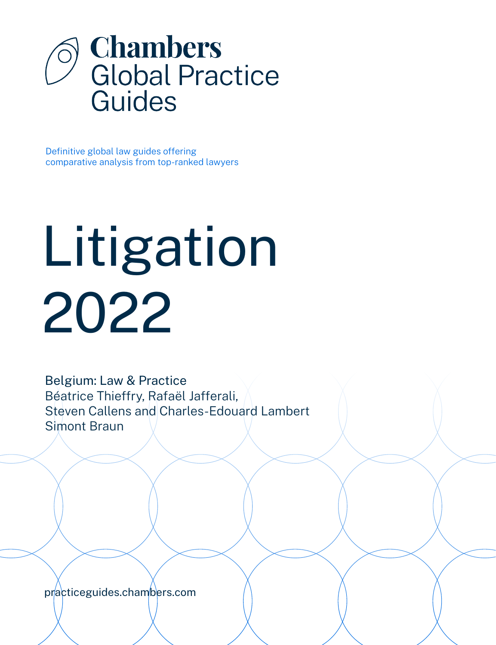

Definitive global law guides offering comparative analysis from top-ranked lawyers

# Litigation 2022

Belgium: Law & Practice Béatrice Thieffry, Rafaël Jafferali, Steven Callens and Charles-Edouard Lambert Simont Braun

[practiceguides.chambers.com](http://practiceguides.chambers.com)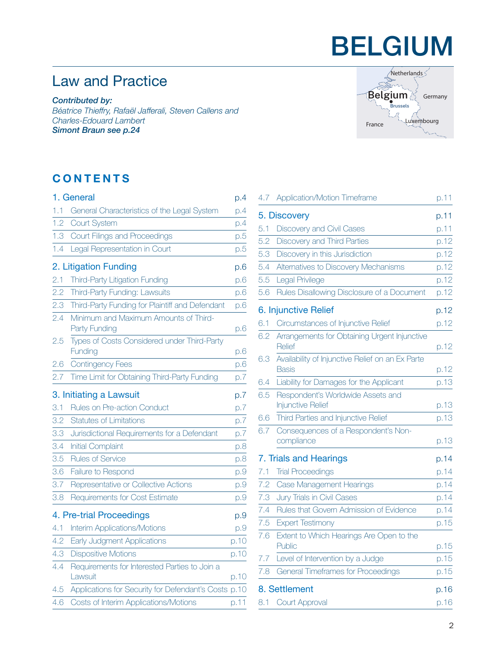## BELGIUM

## Law and Practice

*Contributed by: Béatrice Thieffry, Rafaël Jafferali, Steven Callens and Charles-Edouard Lambert Simont Braun [see p.24](#page-23-0)*

### **CONTENTS**

| 1. General            |                                                          |      |
|-----------------------|----------------------------------------------------------|------|
| 1.1                   | General Characteristics of the Legal System              | p.4  |
| 1.2                   | <b>Court System</b>                                      | p.4  |
| 1.3                   | Court Filings and Proceedings                            | p.5  |
| 1.4                   | Legal Representation in Court                            | p.5  |
| 2. Litigation Funding |                                                          |      |
| 2.1                   | Third-Party Litigation Funding                           | p.6  |
| 2.2                   | Third-Party Funding: Lawsuits                            | D.6  |
| 2.3                   | Third-Party Funding for Plaintiff and Defendant          | p.6  |
| 2.4                   | Minimum and Maximum Amounts of Third-<br>Party Funding   | p.6  |
| 2.5                   | Types of Costs Considered under Third-Party<br>Funding   | p.6  |
| 2.6                   | <b>Contingency Fees</b>                                  | p.6  |
| 2.7                   | Time Limit for Obtaining Third-Party Funding             | p.7  |
|                       | 3. Initiating a Lawsuit                                  | p.7  |
| 3.1                   | Rules on Pre-action Conduct                              | p.7  |
| 3.2                   | <b>Statutes of Limitations</b>                           | p.7  |
| 3.3                   | Jurisdictional Requirements for a Defendant              | D.7  |
| 3.4                   | <b>Initial Complaint</b>                                 | p.8  |
| 3.5                   | <b>Rules of Service</b>                                  | p.8  |
| 3.6                   | Failure to Respond                                       | p.9  |
| 3.7                   | Representative or Collective Actions                     | p.9  |
| 3.8                   | Requirements for Cost Estimate                           | p.9  |
|                       | 4. Pre-trial Proceedings                                 | p.9  |
| 4.1                   | <b>Interim Applications/Motions</b>                      | p.9  |
| 4.2                   | Early Judgment Applications                              | p.10 |
| 4.3                   | <b>Dispositive Motions</b>                               | p.10 |
| 4.4                   | Requirements for Interested Parties to Join a<br>Lawsuit | p.10 |
| 4.5                   | Applications for Security for Defendant's Costs p.10     |      |
| 4.6                   | Costs of Interim Applications/Motions                    | p.11 |
|                       |                                                          |      |

| Netherlands                           |
|---------------------------------------|
| Belgium<br>Germany<br><b>Brussels</b> |
| uxembourg<br>France                   |
|                                       |

| 4.7                    | Application/Motion Timeframe                                  | p.11 |
|------------------------|---------------------------------------------------------------|------|
| 5. Discovery           |                                                               |      |
| 5.1                    | Discovery and Civil Cases                                     | p.11 |
| 5.2                    | Discovery and Third Parties                                   | p.12 |
| 5.3                    | Discovery in this Jurisdiction                                | p.12 |
| 5.4                    | Alternatives to Discovery Mechanisms                          | p.12 |
| 5.5                    | Legal Privilege                                               | p.12 |
| 5.6                    | Rules Disallowing Disclosure of a Document                    | p.12 |
| 6. Injunctive Relief   |                                                               |      |
| 6.1                    | Circumstances of Injunctive Relief                            | p.12 |
| 6.2                    | Arrangements for Obtaining Urgent Injunctive<br>Relief        | p.12 |
| 6.3                    | Availability of Injunctive Relief on an Ex Parte<br>Basis     | p.12 |
| 6.4                    | Liability for Damages for the Applicant                       | p.13 |
| 6.5                    | Respondent's Worldwide Assets and<br><b>Injunctive Relief</b> | p.13 |
| 6.6                    | Third Parties and Injunctive Relief                           | p.13 |
| 6.7                    | Consequences of a Respondent's Non-<br>compliance             | p.13 |
| 7. Trials and Hearings |                                                               |      |
| 7.1                    | <b>Trial Proceedings</b>                                      | p.14 |
| 7.2                    | Case Management Hearings                                      | p.14 |
| 7.3                    | Jury Trials in Civil Cases                                    | p.14 |
| 7.4                    | Rules that Govern Admission of Evidence                       | p.14 |
| 7.5                    | <b>Expert Testimony</b>                                       | p.15 |
| 7.6                    | Extent to Which Hearings Are Open to the<br>Public            | p.15 |
| 7.7                    | Level of Intervention by a Judge                              | p.15 |
| 7.8                    | <b>General Timeframes for Proceedings</b>                     | p.15 |
|                        | 8. Settlement                                                 | p.16 |
| 8.1                    | Court Approval                                                | p.16 |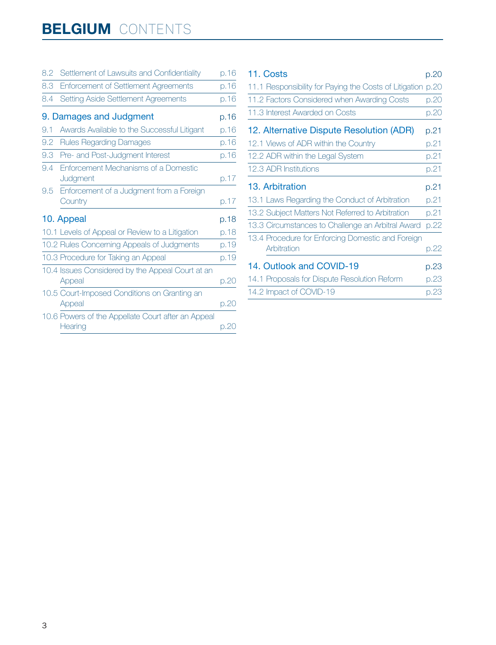## **BELGIUM** CONTENTS

| 8.2 | Settlement of Lawsuits and Confidentiality                    | p.16 |
|-----|---------------------------------------------------------------|------|
| 8.3 | <b>Enforcement of Settlement Agreements</b>                   | p.16 |
| 8.4 | Setting Aside Settlement Agreements                           | p.16 |
|     | 9. Damages and Judgment                                       | p.16 |
| 9.1 | Awards Available to the Successful Litigant                   | p.16 |
| 9.2 | <b>Rules Regarding Damages</b>                                | p.16 |
| 9.3 | Pre- and Post-Judgment Interest                               | p.16 |
| 9.4 | Enforcement Mechanisms of a Domestic<br>Judgment              | p.17 |
| 9.5 | Enforcement of a Judgment from a Foreign<br>Country           | p.17 |
|     | 10. Appeal                                                    | p.18 |
|     | 10.1 Levels of Appeal or Review to a Litigation               | p.18 |
|     | 10.2 Rules Concerning Appeals of Judgments                    | p.19 |
|     | 10.3 Procedure for Taking an Appeal                           | p.19 |
|     | 10.4 Issues Considered by the Appeal Court at an<br>Appeal    | p.20 |
|     | 10.5 Court-Imposed Conditions on Granting an<br>Appeal        | p.20 |
|     | 10.6 Powers of the Appellate Court after an Appeal<br>Hearing | p.20 |

| 11. Costs                            |                                                             | p.20 |
|--------------------------------------|-------------------------------------------------------------|------|
|                                      | 11.1 Responsibility for Paying the Costs of Litigation p.20 |      |
|                                      | 11.2 Factors Considered when Awarding Costs                 | p.20 |
| 11.3 Interest Awarded on Costs       |                                                             | p.20 |
|                                      | 12. Alternative Dispute Resolution (ADR)                    | p.21 |
| 12.1 Views of ADR within the Country |                                                             | p.21 |
| 12.2 ADR within the Legal System     |                                                             | p.21 |
| 12.3 ADR Institutions                |                                                             | p.21 |
| 13. Arbitration                      |                                                             | p.21 |
|                                      | 13.1 Laws Regarding the Conduct of Arbitration              | p.21 |
|                                      | 13.2 Subject Matters Not Referred to Arbitration            | p.21 |
|                                      | 13.3 Circumstances to Challenge an Arbitral Award           | p.22 |
| Arbitration                          | 13.4 Procedure for Enforcing Domestic and Foreign           | p.22 |
| 14. Outlook and COVID-19             |                                                             |      |
|                                      | 14.1 Proposals for Dispute Resolution Reform                | p.23 |
| 14.2 Impact of COVID-19              |                                                             | p.23 |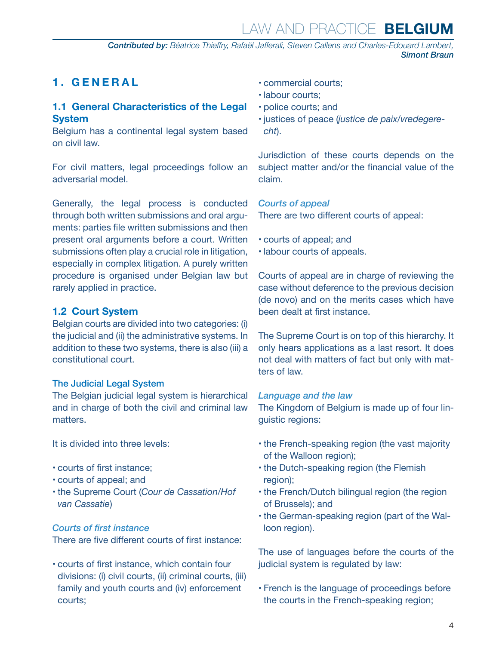*Contributed by: Béatrice Thieffry, Rafaël Jafferali, Steven Callens and Charles-Edouard Lambert, Simont Braun*

#### <span id="page-3-0"></span>**1. GENERAL**

#### **1.1 General Characteristics of the Legal System**

Belgium has a continental legal system based on civil law.

For civil matters, legal proceedings follow an adversarial model.

Generally, the legal process is conducted through both written submissions and oral arguments: parties file written submissions and then present oral arguments before a court. Written submissions often play a crucial role in litigation, especially in complex litigation. A purely written procedure is organised under Belgian law but rarely applied in practice.

#### **1.2 Court System**

Belgian courts are divided into two categories: (i) the judicial and (ii) the administrative systems. In addition to these two systems, there is also (iii) a constitutional court.

#### The Judicial Legal System

The Belgian judicial legal system is hierarchical and in charge of both the civil and criminal law matters.

It is divided into three levels:

- courts of first instance;
- courts of appeal; and
- the Supreme Court (*Cour de Cassation/Hof van Cassatie*)

#### *Courts of first instance*

There are five different courts of first instance:

• courts of first instance, which contain four divisions: (i) civil courts, (ii) criminal courts, (iii) family and youth courts and (iv) enforcement courts;

- commercial courts;
- labour courts;
- police courts; and
- justices of peace (*justice de paix/vredegerecht*).

Jurisdiction of these courts depends on the subject matter and/or the financial value of the claim.

*Courts of appeal*

There are two different courts of appeal:

- courts of appeal; and
- labour courts of appeals.

Courts of appeal are in charge of reviewing the case without deference to the previous decision (de novo) and on the merits cases which have been dealt at first instance.

The Supreme Court is on top of this hierarchy. It only hears applications as a last resort. It does not deal with matters of fact but only with matters of law.

#### *Language and the law*

The Kingdom of Belgium is made up of four linguistic regions:

- the French-speaking region (the vast majority of the Walloon region);
- the Dutch-speaking region (the Flemish region);
- the French/Dutch bilingual region (the region of Brussels); and
- the German-speaking region (part of the Walloon region).

The use of languages before the courts of the judicial system is regulated by law:

• French is the language of proceedings before the courts in the French-speaking region;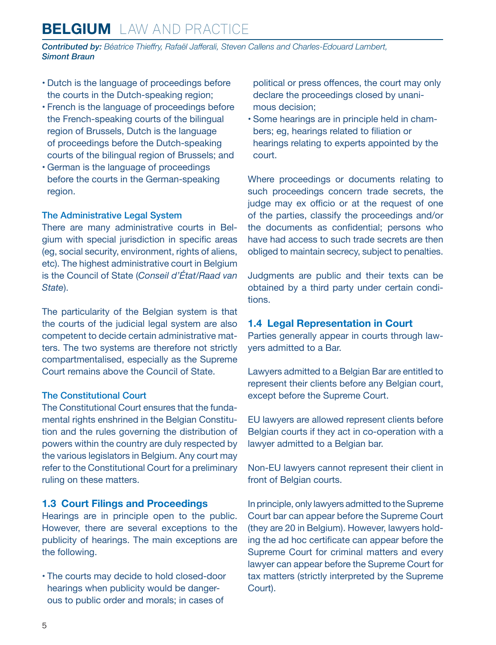<span id="page-4-0"></span>*Contributed by: Béatrice Thieffry, Rafaël Jafferali, Steven Callens and Charles-Edouard Lambert, Simont Braun*

- Dutch is the language of proceedings before the courts in the Dutch-speaking region;
- French is the language of proceedings before the French-speaking courts of the bilingual region of Brussels, Dutch is the language of proceedings before the Dutch-speaking courts of the bilingual region of Brussels; and
- German is the language of proceedings before the courts in the German-speaking region.

#### The Administrative Legal System

There are many administrative courts in Belgium with special jurisdiction in specific areas (eg, social security, environment, rights of aliens, etc). The highest administrative court in Belgium is the Council of State (*Conseil d'État/Raad van State*).

The particularity of the Belgian system is that the courts of the judicial legal system are also competent to decide certain administrative matters. The two systems are therefore not strictly compartmentalised, especially as the Supreme Court remains above the Council of State.

#### The Constitutional Court

The Constitutional Court ensures that the fundamental rights enshrined in the Belgian Constitution and the rules governing the distribution of powers within the country are duly respected by the various legislators in Belgium. Any court may refer to the Constitutional Court for a preliminary ruling on these matters.

#### **1.3 Court Filings and Proceedings**

Hearings are in principle open to the public. However, there are several exceptions to the publicity of hearings. The main exceptions are the following.

• The courts may decide to hold closed-door hearings when publicity would be dangerous to public order and morals; in cases of

political or press offences, the court may only declare the proceedings closed by unanimous decision;

• Some hearings are in principle held in chambers; eg, hearings related to filiation or hearings relating to experts appointed by the court.

Where proceedings or documents relating to such proceedings concern trade secrets, the judge may ex officio or at the request of one of the parties, classify the proceedings and/or the documents as confidential; persons who have had access to such trade secrets are then obliged to maintain secrecy, subject to penalties.

Judgments are public and their texts can be obtained by a third party under certain conditions.

#### **1.4 Legal Representation in Court**

Parties generally appear in courts through lawyers admitted to a Bar.

Lawyers admitted to a Belgian Bar are entitled to represent their clients before any Belgian court, except before the Supreme Court.

EU lawyers are allowed represent clients before Belgian courts if they act in co-operation with a lawyer admitted to a Belgian bar.

Non-EU lawyers cannot represent their client in front of Belgian courts.

In principle, only lawyers admitted to the Supreme Court bar can appear before the Supreme Court (they are 20 in Belgium). However, lawyers holding the ad hoc certificate can appear before the Supreme Court for criminal matters and every lawyer can appear before the Supreme Court for tax matters (strictly interpreted by the Supreme Court).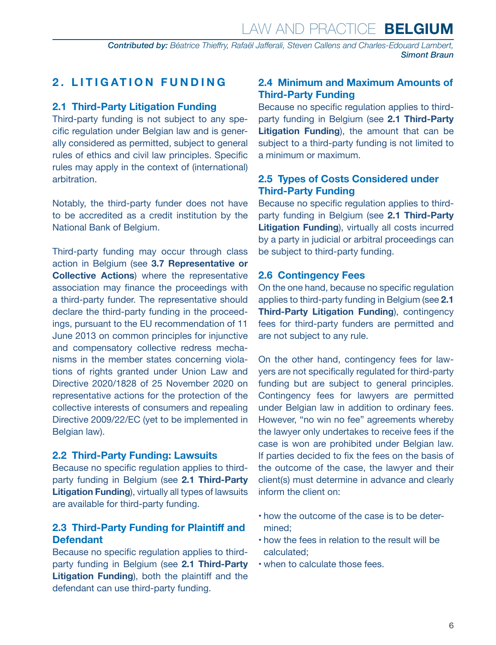#### <span id="page-5-0"></span>**2. LITIGATION FUNDING**

#### **2.1 Third-Party Litigation Funding**

Third-party funding is not subject to any specific regulation under Belgian law and is generally considered as permitted, subject to general rules of ethics and civil law principles. Specific rules may apply in the context of (international) arbitration.

Notably, the third-party funder does not have to be accredited as a credit institution by the National Bank of Belgium.

Third-party funding may occur through class action in Belgium (see **3.7 Representative or Collective Actions**) where the representative association may finance the proceedings with a third-party funder. The representative should declare the third-party funding in the proceedings, pursuant to the EU recommendation of 11 June 2013 on common principles for injunctive and compensatory collective redress mechanisms in the member states concerning violations of rights granted under Union Law and Directive 2020/1828 of 25 November 2020 on representative actions for the protection of the collective interests of consumers and repealing Directive 2009/22/EC (yet to be implemented in Belgian law).

#### **2.2 Third-Party Funding: Lawsuits**

Because no specific regulation applies to thirdparty funding in Belgium (see **2.1 Third-Party Litigation Funding**), virtually all types of lawsuits are available for third-party funding.

#### **2.3 Third-Party Funding for Plaintiff and Defendant**

Because no specific regulation applies to thirdparty funding in Belgium (see **2.1 Third-Party Litigation Funding**), both the plaintiff and the defendant can use third-party funding.

#### **2.4 Minimum and Maximum Amounts of Third-Party Funding**

Because no specific regulation applies to thirdparty funding in Belgium (see **2.1 Third-Party Litigation Funding**), the amount that can be subject to a third-party funding is not limited to a minimum or maximum.

#### **2.5 Types of Costs Considered under Third-Party Funding**

Because no specific regulation applies to thirdparty funding in Belgium (see **2.1 Third-Party Litigation Funding**), virtually all costs incurred by a party in judicial or arbitral proceedings can be subject to third-party funding.

#### **2.6 Contingency Fees**

On the one hand, because no specific regulation applies to third-party funding in Belgium (see **2.1 Third-Party Litigation Funding**), contingency fees for third-party funders are permitted and are not subject to any rule.

On the other hand, contingency fees for lawyers are not specifically regulated for third-party funding but are subject to general principles. Contingency fees for lawyers are permitted under Belgian law in addition to ordinary fees. However, "no win no fee" agreements whereby the lawyer only undertakes to receive fees if the case is won are prohibited under Belgian law. If parties decided to fix the fees on the basis of the outcome of the case, the lawyer and their client(s) must determine in advance and clearly inform the client on:

- how the outcome of the case is to be determined;
- how the fees in relation to the result will be calculated;
- when to calculate those fees.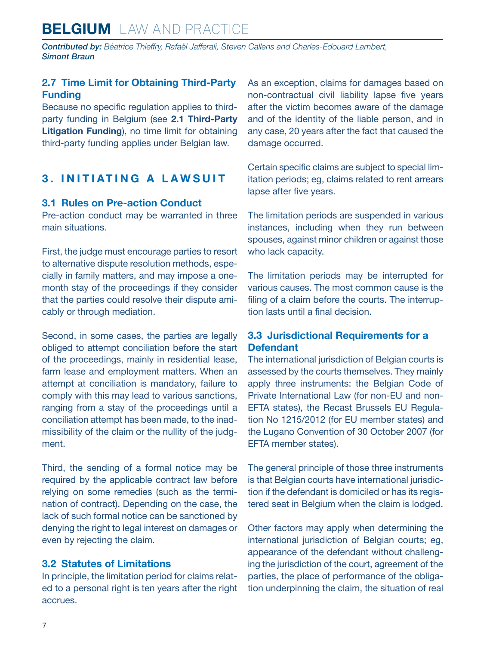## <span id="page-6-0"></span>**BELGIUM** LAW AND PRACTICE

*Contributed by: Béatrice Thieffry, Rafaël Jafferali, Steven Callens and Charles-Edouard Lambert, Simont Braun*

#### **2.7 Time Limit for Obtaining Third-Party Funding**

Because no specific regulation applies to thirdparty funding in Belgium (see **2.1 Third-Party Litigation Funding**), no time limit for obtaining third-party funding applies under Belgian law.

#### **3. INITIATING A LAWSUIT**

#### **3.1 Rules on Pre-action Conduct**

Pre-action conduct may be warranted in three main situations.

First, the judge must encourage parties to resort to alternative dispute resolution methods, especially in family matters, and may impose a onemonth stay of the proceedings if they consider that the parties could resolve their dispute amicably or through mediation.

Second, in some cases, the parties are legally obliged to attempt conciliation before the start of the proceedings, mainly in residential lease, farm lease and employment matters. When an attempt at conciliation is mandatory, failure to comply with this may lead to various sanctions, ranging from a stay of the proceedings until a conciliation attempt has been made, to the inadmissibility of the claim or the nullity of the judgment.

Third, the sending of a formal notice may be required by the applicable contract law before relying on some remedies (such as the termination of contract). Depending on the case, the lack of such formal notice can be sanctioned by denying the right to legal interest on damages or even by rejecting the claim.

#### **3.2 Statutes of Limitations**

In principle, the limitation period for claims related to a personal right is ten years after the right accrues.

As an exception, claims for damages based on non-contractual civil liability lapse five years after the victim becomes aware of the damage and of the identity of the liable person, and in any case, 20 years after the fact that caused the damage occurred.

Certain specific claims are subject to special limitation periods; eg, claims related to rent arrears lapse after five years.

The limitation periods are suspended in various instances, including when they run between spouses, against minor children or against those who lack capacity.

The limitation periods may be interrupted for various causes. The most common cause is the filing of a claim before the courts. The interruption lasts until a final decision.

#### **3.3 Jurisdictional Requirements for a Defendant**

The international jurisdiction of Belgian courts is assessed by the courts themselves. They mainly apply three instruments: the Belgian Code of Private International Law (for non-EU and non-EFTA states), the Recast Brussels EU Regulation No 1215/2012 (for EU member states) and the Lugano Convention of 30 October 2007 (for EFTA member states).

The general principle of those three instruments is that Belgian courts have international jurisdiction if the defendant is domiciled or has its registered seat in Belgium when the claim is lodged.

Other factors may apply when determining the international jurisdiction of Belgian courts; eg, appearance of the defendant without challenging the jurisdiction of the court, agreement of the parties, the place of performance of the obligation underpinning the claim, the situation of real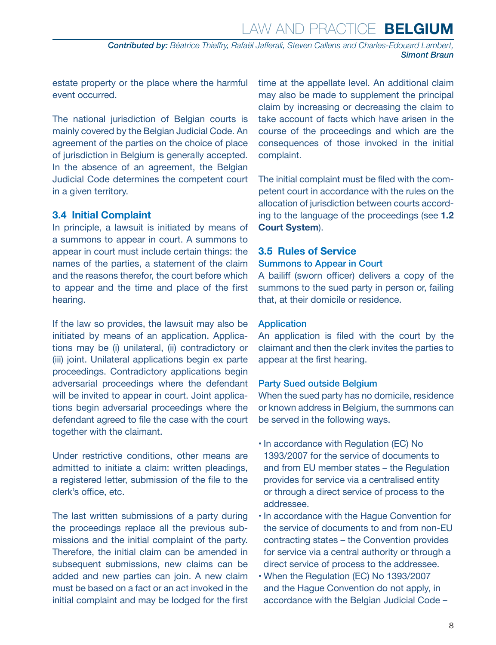*Contributed by: Béatrice Thieffry, Rafaël Jafferali, Steven Callens and Charles-Edouard Lambert, Simont Braun*

<span id="page-7-0"></span>estate property or the place where the harmful event occurred.

The national jurisdiction of Belgian courts is mainly covered by the Belgian Judicial Code. An agreement of the parties on the choice of place of jurisdiction in Belgium is generally accepted. In the absence of an agreement, the Belgian Judicial Code determines the competent court in a given territory.

#### **3.4 Initial Complaint**

In principle, a lawsuit is initiated by means of a summons to appear in court. A summons to appear in court must include certain things: the names of the parties, a statement of the claim and the reasons therefor, the court before which to appear and the time and place of the first hearing.

If the law so provides, the lawsuit may also be initiated by means of an application. Applications may be (i) unilateral, (ii) contradictory or (iii) joint. Unilateral applications begin ex parte proceedings. Contradictory applications begin adversarial proceedings where the defendant will be invited to appear in court. Joint applications begin adversarial proceedings where the defendant agreed to file the case with the court together with the claimant.

Under restrictive conditions, other means are admitted to initiate a claim: written pleadings, a registered letter, submission of the file to the clerk's office, etc.

The last written submissions of a party during the proceedings replace all the previous submissions and the initial complaint of the party. Therefore, the initial claim can be amended in subsequent submissions, new claims can be added and new parties can join. A new claim must be based on a fact or an act invoked in the initial complaint and may be lodged for the first time at the appellate level. An additional claim may also be made to supplement the principal claim by increasing or decreasing the claim to take account of facts which have arisen in the course of the proceedings and which are the consequences of those invoked in the initial complaint.

The initial complaint must be filed with the competent court in accordance with the rules on the allocation of jurisdiction between courts according to the language of the proceedings (see **1.2 Court System**).

#### **3.5 Rules of Service**

#### Summons to Appear in Court

A bailiff (sworn officer) delivers a copy of the summons to the sued party in person or, failing that, at their domicile or residence.

#### Application

An application is filed with the court by the claimant and then the clerk invites the parties to appear at the first hearing.

#### Party Sued outside Belgium

When the sued party has no domicile, residence or known address in Belgium, the summons can be served in the following ways.

- In accordance with Regulation (EC) No 1393/2007 for the service of documents to and from EU member states – the Regulation provides for service via a centralised entity or through a direct service of process to the addressee.
- In accordance with the Hague Convention for the service of documents to and from non-EU contracting states – the Convention provides for service via a central authority or through a direct service of process to the addressee.
- When the Regulation (EC) No 1393/2007 and the Hague Convention do not apply, in accordance with the Belgian Judicial Code –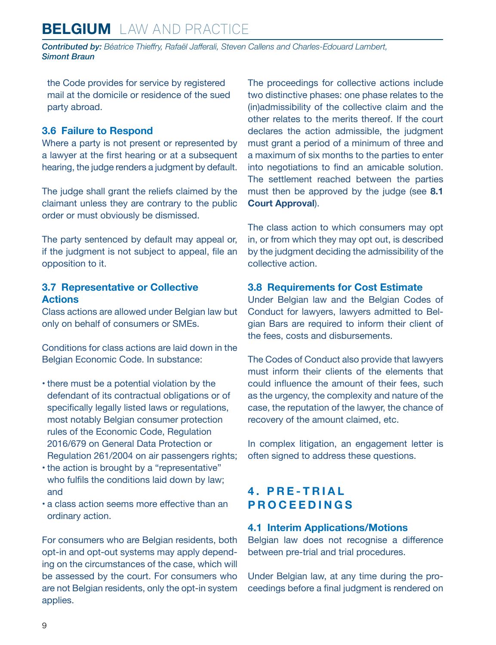<span id="page-8-0"></span>*Contributed by: Béatrice Thieffry, Rafaël Jafferali, Steven Callens and Charles-Edouard Lambert, Simont Braun*

the Code provides for service by registered mail at the domicile or residence of the sued party abroad.

#### **3.6 Failure to Respond**

Where a party is not present or represented by a lawyer at the first hearing or at a subsequent hearing, the judge renders a judgment by default.

The judge shall grant the reliefs claimed by the claimant unless they are contrary to the public order or must obviously be dismissed.

The party sentenced by default may appeal or, if the judgment is not subject to appeal, file an opposition to it.

#### **3.7 Representative or Collective Actions**

Class actions are allowed under Belgian law but only on behalf of consumers or SMEs.

Conditions for class actions are laid down in the Belgian Economic Code. In substance:

- there must be a potential violation by the defendant of its contractual obligations or of specifically legally listed laws or regulations, most notably Belgian consumer protection rules of the Economic Code, Regulation 2016/679 on General Data Protection or Regulation 261/2004 on air passengers rights;
- the action is brought by a "representative" who fulfils the conditions laid down by law; and
- a class action seems more effective than an ordinary action.

For consumers who are Belgian residents, both opt-in and opt-out systems may apply depending on the circumstances of the case, which will be assessed by the court. For consumers who are not Belgian residents, only the opt-in system applies.

The proceedings for collective actions include two distinctive phases: one phase relates to the (in)admissibility of the collective claim and the other relates to the merits thereof. If the court declares the action admissible, the judgment must grant a period of a minimum of three and a maximum of six months to the parties to enter into negotiations to find an amicable solution. The settlement reached between the parties must then be approved by the judge (see **8.1 Court Approval**).

The class action to which consumers may opt in, or from which they may opt out, is described by the judgment deciding the admissibility of the collective action.

#### **3.8 Requirements for Cost Estimate**

Under Belgian law and the Belgian Codes of Conduct for lawyers, lawyers admitted to Belgian Bars are required to inform their client of the fees, costs and disbursements.

The Codes of Conduct also provide that lawyers must inform their clients of the elements that could influence the amount of their fees, such as the urgency, the complexity and nature of the case, the reputation of the lawyer, the chance of recovery of the amount claimed, etc.

In complex litigation, an engagement letter is often signed to address these questions.

#### **4 . P R E - T R I A L PROCEEDINGS**

#### **4.1 Interim Applications/Motions**

Belgian law does not recognise a difference between pre-trial and trial procedures.

Under Belgian law, at any time during the proceedings before a final judgment is rendered on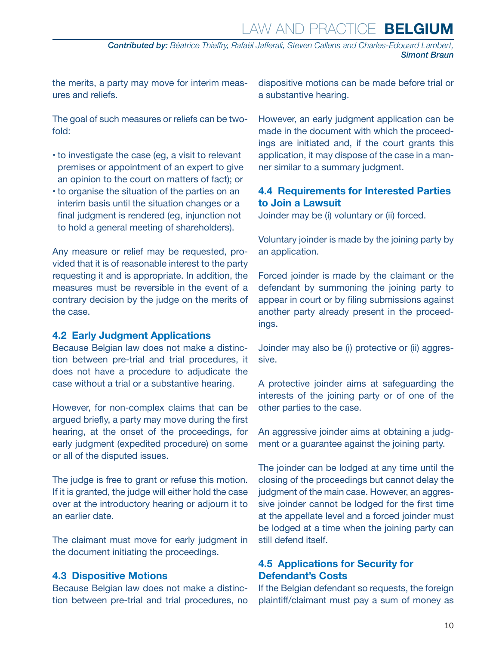*Contributed by: Béatrice Thieffry, Rafaël Jafferali, Steven Callens and Charles-Edouard Lambert, Simont Braun*

<span id="page-9-0"></span>the merits, a party may move for interim measures and reliefs.

The goal of such measures or reliefs can be twofold:

- to investigate the case (eg, a visit to relevant premises or appointment of an expert to give an opinion to the court on matters of fact); or
- to organise the situation of the parties on an interim basis until the situation changes or a final judgment is rendered (eg, injunction not to hold a general meeting of shareholders).

Any measure or relief may be requested, provided that it is of reasonable interest to the party requesting it and is appropriate. In addition, the measures must be reversible in the event of a contrary decision by the judge on the merits of the case.

#### **4.2 Early Judgment Applications**

Because Belgian law does not make a distinction between pre-trial and trial procedures, it does not have a procedure to adjudicate the case without a trial or a substantive hearing.

However, for non-complex claims that can be argued briefly, a party may move during the first hearing, at the onset of the proceedings, for early judgment (expedited procedure) on some or all of the disputed issues.

The judge is free to grant or refuse this motion. If it is granted, the judge will either hold the case over at the introductory hearing or adjourn it to an earlier date.

The claimant must move for early judgment in the document initiating the proceedings.

#### **4.3 Dispositive Motions**

Because Belgian law does not make a distinction between pre-trial and trial procedures, no dispositive motions can be made before trial or a substantive hearing.

However, an early judgment application can be made in the document with which the proceedings are initiated and, if the court grants this application, it may dispose of the case in a manner similar to a summary judgment.

#### **4.4 Requirements for Interested Parties to Join a Lawsuit**

Joinder may be (i) voluntary or (ii) forced.

Voluntary joinder is made by the joining party by an application.

Forced joinder is made by the claimant or the defendant by summoning the joining party to appear in court or by filing submissions against another party already present in the proceedings.

Joinder may also be (i) protective or (ii) aggressive.

A protective joinder aims at safeguarding the interests of the joining party or of one of the other parties to the case.

An aggressive joinder aims at obtaining a judgment or a guarantee against the joining party.

The joinder can be lodged at any time until the closing of the proceedings but cannot delay the judgment of the main case. However, an aggressive joinder cannot be lodged for the first time at the appellate level and a forced joinder must be lodged at a time when the joining party can still defend itself.

#### **4.5 Applications for Security for Defendant's Costs**

If the Belgian defendant so requests, the foreign plaintiff/claimant must pay a sum of money as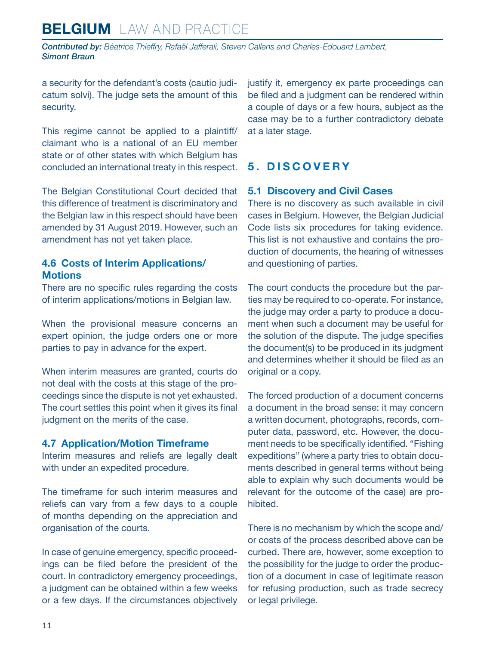<span id="page-10-0"></span>*Contributed by: Béatrice Thieffry, Rafaël Jafferali, Steven Callens and Charles-Edouard Lambert, Simont Braun*

a security for the defendant's costs (cautio judicatum solvi). The judge sets the amount of this security.

This regime cannot be applied to a plaintiff/ claimant who is a national of an EU member state or of other states with which Belgium has concluded an international treaty in this respect.

The Belgian Constitutional Court decided that this difference of treatment is discriminatory and the Belgian law in this respect should have been amended by 31 August 2019. However, such an amendment has not yet taken place.

#### **4.6 Costs of Interim Applications/ Motions**

There are no specific rules regarding the costs of interim applications/motions in Belgian law.

When the provisional measure concerns an expert opinion, the judge orders one or more parties to pay in advance for the expert.

When interim measures are granted, courts do not deal with the costs at this stage of the proceedings since the dispute is not yet exhausted. The court settles this point when it gives its final judgment on the merits of the case.

#### **4.7 Application/Motion Timeframe**

Interim measures and reliefs are legally dealt with under an expedited procedure.

The timeframe for such interim measures and reliefs can vary from a few days to a couple of months depending on the appreciation and organisation of the courts.

In case of genuine emergency, specific proceedings can be filed before the president of the court. In contradictory emergency proceedings, a judgment can be obtained within a few weeks or a few days. If the circumstances objectively justify it, emergency ex parte proceedings can be filed and a judgment can be rendered within a couple of days or a few hours, subject as the case may be to a further contradictory debate at a later stage.

#### **5. DISCOVERY**

#### **5.1 Discovery and Civil Cases**

There is no discovery as such available in civil cases in Belgium. However, the Belgian Judicial Code lists six procedures for taking evidence. This list is not exhaustive and contains the production of documents, the hearing of witnesses and questioning of parties.

The court conducts the procedure but the parties may be required to co-operate. For instance, the judge may order a party to produce a document when such a document may be useful for the solution of the dispute. The judge specifies the document(s) to be produced in its judgment and determines whether it should be filed as an original or a copy.

The forced production of a document concerns a document in the broad sense: it may concern a written document, photographs, records, computer data, password, etc. However, the document needs to be specifically identified. "Fishing expeditions" (where a party tries to obtain documents described in general terms without being able to explain why such documents would be relevant for the outcome of the case) are prohibited.

There is no mechanism by which the scope and/ or costs of the process described above can be curbed. There are, however, some exception to the possibility for the judge to order the production of a document in case of legitimate reason for refusing production, such as trade secrecy or legal privilege.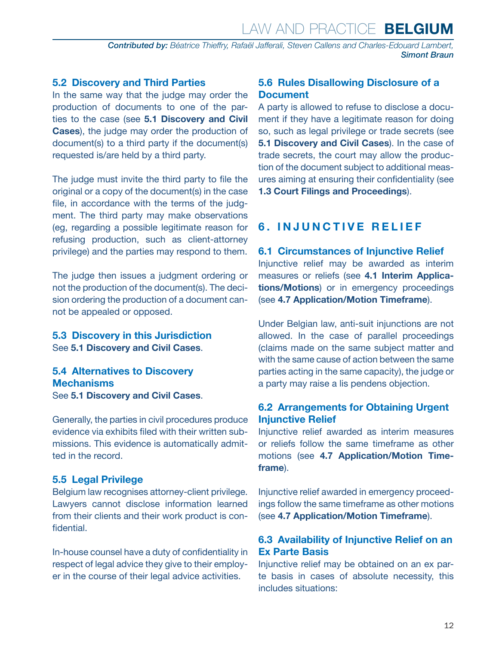*Contributed by: Béatrice Thieffry, Rafaël Jafferali, Steven Callens and Charles-Edouard Lambert, Simont Braun*

#### <span id="page-11-0"></span>**5.2 Discovery and Third Parties**

In the same way that the judge may order the production of documents to one of the parties to the case (see **5.1 Discovery and Civil Cases**), the judge may order the production of document(s) to a third party if the document(s) requested is/are held by a third party.

The judge must invite the third party to file the original or a copy of the document(s) in the case file, in accordance with the terms of the judgment. The third party may make observations (eg, regarding a possible legitimate reason for refusing production, such as client-attorney privilege) and the parties may respond to them.

The judge then issues a judgment ordering or not the production of the document(s). The decision ordering the production of a document cannot be appealed or opposed.

**5.3 Discovery in this Jurisdiction** See **5.1 Discovery and Civil Cases**.

#### **5.4 Alternatives to Discovery Mechanisms** See **5.1 Discovery and Civil Cases**.

Generally, the parties in civil procedures produce evidence via exhibits filed with their written submissions. This evidence is automatically admitted in the record.

#### **5.5 Legal Privilege**

Belgium law recognises attorney-client privilege. Lawyers cannot disclose information learned from their clients and their work product is confidential.

In-house counsel have a duty of confidentiality in respect of legal advice they give to their employer in the course of their legal advice activities.

#### **5.6 Rules Disallowing Disclosure of a Document**

A party is allowed to refuse to disclose a document if they have a legitimate reason for doing so, such as legal privilege or trade secrets (see **5.1 Discovery and Civil Cases**). In the case of trade secrets, the court may allow the production of the document subject to additional measures aiming at ensuring their confidentiality (see **1.3 Court Filings and Proceedings**).

#### **6. INJUNCTIVE RELIEF**

#### **6.1 Circumstances of Injunctive Relief**

Injunctive relief may be awarded as interim measures or reliefs (see **4.1 Interim Applications/Motions**) or in emergency proceedings (see **4.7 Application/Motion Timeframe**).

Under Belgian law, anti-suit injunctions are not allowed. In the case of parallel proceedings (claims made on the same subject matter and with the same cause of action between the same parties acting in the same capacity), the judge or a party may raise a lis pendens objection.

#### **6.2 Arrangements for Obtaining Urgent Injunctive Relief**

Injunctive relief awarded as interim measures or reliefs follow the same timeframe as other motions (see **4.7 Application/Motion Timeframe**).

Injunctive relief awarded in emergency proceedings follow the same timeframe as other motions (see **4.7 Application/Motion Timeframe**).

#### **6.3 Availability of Injunctive Relief on an Ex Parte Basis**

Injunctive relief may be obtained on an ex parte basis in cases of absolute necessity, this includes situations: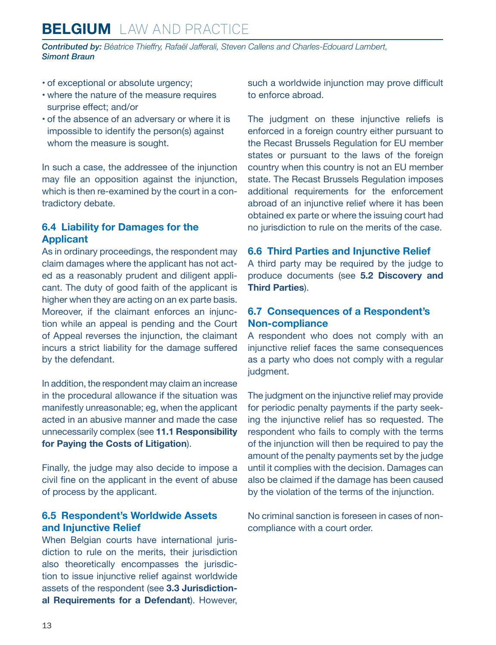<span id="page-12-0"></span>*Contributed by: Béatrice Thieffry, Rafaël Jafferali, Steven Callens and Charles-Edouard Lambert, Simont Braun*

- of exceptional or absolute urgency;
- where the nature of the measure requires surprise effect; and/or
- of the absence of an adversary or where it is impossible to identify the person(s) against whom the measure is sought.

In such a case, the addressee of the injunction may file an opposition against the injunction, which is then re-examined by the court in a contradictory debate.

#### **6.4 Liability for Damages for the Applicant**

As in ordinary proceedings, the respondent may claim damages where the applicant has not acted as a reasonably prudent and diligent applicant. The duty of good faith of the applicant is higher when they are acting on an ex parte basis. Moreover, if the claimant enforces an injunction while an appeal is pending and the Court of Appeal reverses the injunction, the claimant incurs a strict liability for the damage suffered by the defendant.

In addition, the respondent may claim an increase in the procedural allowance if the situation was manifestly unreasonable; eg, when the applicant acted in an abusive manner and made the case unnecessarily complex (see **11.1 Responsibility for Paying the Costs of Litigation**).

Finally, the judge may also decide to impose a civil fine on the applicant in the event of abuse of process by the applicant.

#### **6.5 Respondent's Worldwide Assets and Injunctive Relief**

When Belgian courts have international jurisdiction to rule on the merits, their jurisdiction also theoretically encompasses the jurisdiction to issue injunctive relief against worldwide assets of the respondent (see **3.3 Jurisdictional Requirements for a Defendant**). However, such a worldwide injunction may prove difficult to enforce abroad.

The judgment on these injunctive reliefs is enforced in a foreign country either pursuant to the Recast Brussels Regulation for EU member states or pursuant to the laws of the foreign country when this country is not an EU member state. The Recast Brussels Regulation imposes additional requirements for the enforcement abroad of an injunctive relief where it has been obtained ex parte or where the issuing court had no jurisdiction to rule on the merits of the case.

#### **6.6 Third Parties and Injunctive Relief**

A third party may be required by the judge to produce documents (see **5.2 Discovery and Third Parties**).

#### **6.7 Consequences of a Respondent's Non-compliance**

A respondent who does not comply with an injunctive relief faces the same consequences as a party who does not comply with a regular judgment.

The judgment on the injunctive relief may provide for periodic penalty payments if the party seeking the injunctive relief has so requested. The respondent who fails to comply with the terms of the injunction will then be required to pay the amount of the penalty payments set by the judge until it complies with the decision. Damages can also be claimed if the damage has been caused by the violation of the terms of the injunction.

No criminal sanction is foreseen in cases of noncompliance with a court order.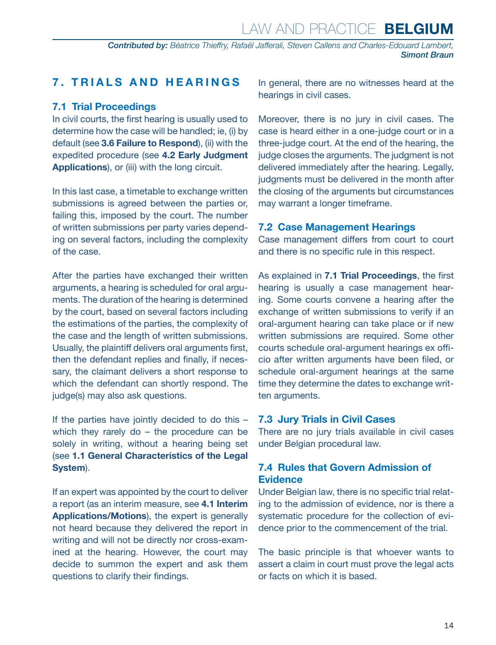#### <span id="page-13-0"></span>**7. TRIALS AND HEARINGS**

#### **7.1 Trial Proceedings**

In civil courts, the first hearing is usually used to determine how the case will be handled; ie, (i) by default (see **3.6 Failure to Respond**), (ii) with the expedited procedure (see **4.2 Early Judgment Applications**), or (iii) with the long circuit.

In this last case, a timetable to exchange written submissions is agreed between the parties or, failing this, imposed by the court. The number of written submissions per party varies depending on several factors, including the complexity of the case.

After the parties have exchanged their written arguments, a hearing is scheduled for oral arguments. The duration of the hearing is determined by the court, based on several factors including the estimations of the parties, the complexity of the case and the length of written submissions. Usually, the plaintiff delivers oral arguments first, then the defendant replies and finally, if necessary, the claimant delivers a short response to which the defendant can shortly respond. The judge(s) may also ask questions.

If the parties have jointly decided to do this – which they rarely do - the procedure can be solely in writing, without a hearing being set (see **1.1 General Characteristics of the Legal System**).

If an expert was appointed by the court to deliver a report (as an interim measure, see **4.1 Interim Applications/Motions**), the expert is generally not heard because they delivered the report in writing and will not be directly nor cross-examined at the hearing. However, the court may decide to summon the expert and ask them questions to clarify their findings.

In general, there are no witnesses heard at the hearings in civil cases.

Moreover, there is no jury in civil cases. The case is heard either in a one-judge court or in a three-judge court. At the end of the hearing, the judge closes the arguments. The judgment is not delivered immediately after the hearing. Legally, judgments must be delivered in the month after the closing of the arguments but circumstances may warrant a longer timeframe.

#### **7.2 Case Management Hearings**

Case management differs from court to court and there is no specific rule in this respect.

As explained in **7.1 Trial Proceedings**, the first hearing is usually a case management hearing. Some courts convene a hearing after the exchange of written submissions to verify if an oral-argument hearing can take place or if new written submissions are required. Some other courts schedule oral-argument hearings ex officio after written arguments have been filed, or schedule oral-argument hearings at the same time they determine the dates to exchange written arguments.

#### **7.3 Jury Trials in Civil Cases**

There are no jury trials available in civil cases under Belgian procedural law.

#### **7.4 Rules that Govern Admission of Evidence**

Under Belgian law, there is no specific trial relating to the admission of evidence, nor is there a systematic procedure for the collection of evidence prior to the commencement of the trial.

The basic principle is that whoever wants to assert a claim in court must prove the legal acts or facts on which it is based.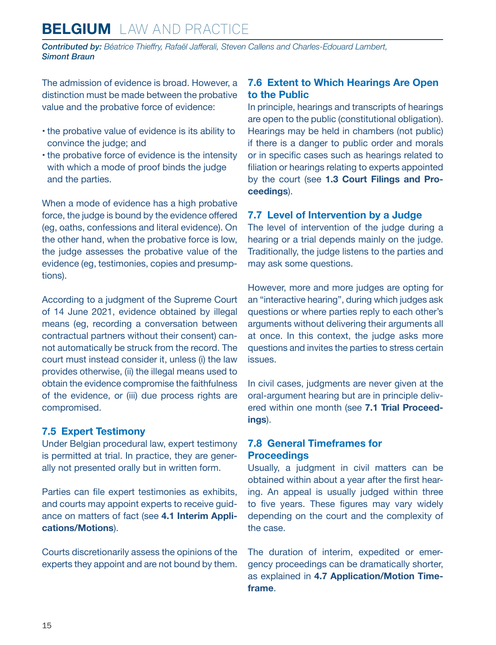<span id="page-14-0"></span>*Contributed by: Béatrice Thieffry, Rafaël Jafferali, Steven Callens and Charles-Edouard Lambert, Simont Braun*

The admission of evidence is broad. However, a distinction must be made between the probative value and the probative force of evidence:

- the probative value of evidence is its ability to convince the judge; and
- the probative force of evidence is the intensity with which a mode of proof binds the judge and the parties.

When a mode of evidence has a high probative force, the judge is bound by the evidence offered (eg, oaths, confessions and literal evidence). On the other hand, when the probative force is low, the judge assesses the probative value of the evidence (eg, testimonies, copies and presumptions).

According to a judgment of the Supreme Court of 14 June 2021, evidence obtained by illegal means (eg, recording a conversation between contractual partners without their consent) cannot automatically be struck from the record. The court must instead consider it, unless (i) the law provides otherwise, (ii) the illegal means used to obtain the evidence compromise the faithfulness of the evidence, or (iii) due process rights are compromised.

#### **7.5 Expert Testimony**

Under Belgian procedural law, expert testimony is permitted at trial. In practice, they are generally not presented orally but in written form.

Parties can file expert testimonies as exhibits, and courts may appoint experts to receive guidance on matters of fact (see **4.1 Interim Applications/Motions**).

Courts discretionarily assess the opinions of the experts they appoint and are not bound by them.

#### **7.6 Extent to Which Hearings Are Open to the Public**

In principle, hearings and transcripts of hearings are open to the public (constitutional obligation). Hearings may be held in chambers (not public) if there is a danger to public order and morals or in specific cases such as hearings related to filiation or hearings relating to experts appointed by the court (see **1.3 Court Filings and Proceedings**).

#### **7.7 Level of Intervention by a Judge**

The level of intervention of the judge during a hearing or a trial depends mainly on the judge. Traditionally, the judge listens to the parties and may ask some questions.

However, more and more judges are opting for an "interactive hearing", during which judges ask questions or where parties reply to each other's arguments without delivering their arguments all at once. In this context, the judge asks more questions and invites the parties to stress certain issues.

In civil cases, judgments are never given at the oral-argument hearing but are in principle delivered within one month (see **7.1 Trial Proceedings**).

#### **7.8 General Timeframes for Proceedings**

Usually, a judgment in civil matters can be obtained within about a year after the first hearing. An appeal is usually judged within three to five years. These figures may vary widely depending on the court and the complexity of the case.

The duration of interim, expedited or emergency proceedings can be dramatically shorter, as explained in **4.7 Application/Motion Timeframe**.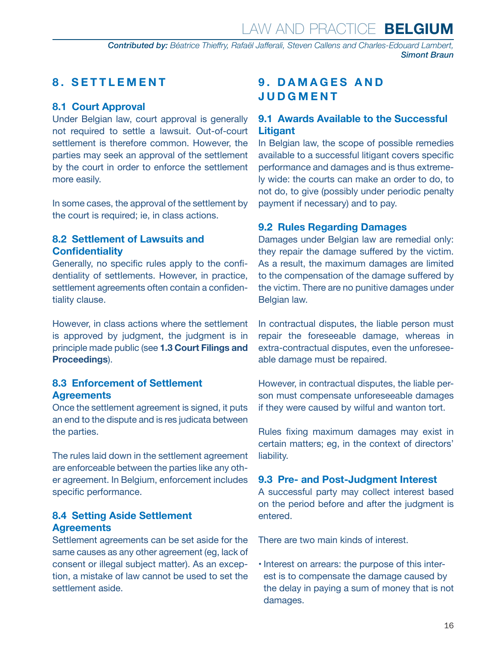#### <span id="page-15-0"></span>**8. SETTLEMENT**

#### **8.1 Court Approval**

Under Belgian law, court approval is generally not required to settle a lawsuit. Out-of-court settlement is therefore common. However, the parties may seek an approval of the settlement by the court in order to enforce the settlement more easily.

In some cases, the approval of the settlement by the court is required; ie, in class actions.

#### **8.2 Settlement of Lawsuits and Confidentiality**

Generally, no specific rules apply to the confidentiality of settlements. However, in practice, settlement agreements often contain a confidentiality clause.

However, in class actions where the settlement is approved by judgment, the judgment is in principle made public (see **1.3 Court Filings and Proceedings**).

#### **8.3 Enforcement of Settlement Agreements**

Once the settlement agreement is signed, it puts an end to the dispute and is res judicata between the parties.

The rules laid down in the settlement agreement are enforceable between the parties like any other agreement. In Belgium, enforcement includes specific performance.

#### **8.4 Setting Aside Settlement Agreements**

Settlement agreements can be set aside for the same causes as any other agreement (eg, lack of consent or illegal subject matter). As an exception, a mistake of law cannot be used to set the settlement aside.

#### **9 . D A M A G E S A N D JUDGMENT**

#### **9.1 Awards Available to the Successful Litigant**

In Belgian law, the scope of possible remedies available to a successful litigant covers specific performance and damages and is thus extremely wide: the courts can make an order to do, to not do, to give (possibly under periodic penalty payment if necessary) and to pay.

#### **9.2 Rules Regarding Damages**

Damages under Belgian law are remedial only: they repair the damage suffered by the victim. As a result, the maximum damages are limited to the compensation of the damage suffered by the victim. There are no punitive damages under Belgian law.

In contractual disputes, the liable person must repair the foreseeable damage, whereas in extra-contractual disputes, even the unforeseeable damage must be repaired.

However, in contractual disputes, the liable person must compensate unforeseeable damages if they were caused by wilful and wanton tort.

Rules fixing maximum damages may exist in certain matters; eg, in the context of directors' liability.

#### **9.3 Pre- and Post-Judgment Interest**

A successful party may collect interest based on the period before and after the judgment is entered.

There are two main kinds of interest.

• Interest on arrears: the purpose of this interest is to compensate the damage caused by the delay in paying a sum of money that is not damages.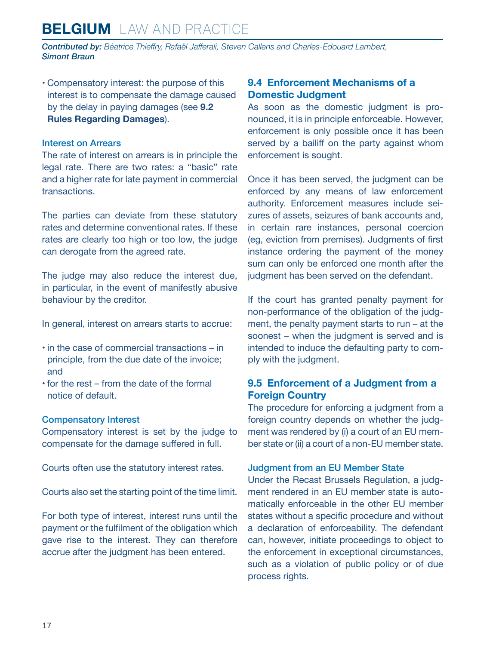<span id="page-16-0"></span>*Contributed by: Béatrice Thieffry, Rafaël Jafferali, Steven Callens and Charles-Edouard Lambert, Simont Braun*

• Compensatory interest: the purpose of this interest is to compensate the damage caused by the delay in paying damages (see **9.2 Rules Regarding Damages**).

#### Interest on Arrears

The rate of interest on arrears is in principle the legal rate. There are two rates: a "basic" rate and a higher rate for late payment in commercial transactions.

The parties can deviate from these statutory rates and determine conventional rates. If these rates are clearly too high or too low, the judge can derogate from the agreed rate.

The judge may also reduce the interest due, in particular, in the event of manifestly abusive behaviour by the creditor.

In general, interest on arrears starts to accrue:

- in the case of commercial transactions in principle, from the due date of the invoice; and
- for the rest from the date of the formal notice of default.

#### Compensatory Interest

Compensatory interest is set by the judge to compensate for the damage suffered in full.

Courts often use the statutory interest rates.

Courts also set the starting point of the time limit.

For both type of interest, interest runs until the payment or the fulfilment of the obligation which gave rise to the interest. They can therefore accrue after the judgment has been entered.

#### **9.4 Enforcement Mechanisms of a Domestic Judgment**

As soon as the domestic judgment is pronounced, it is in principle enforceable. However, enforcement is only possible once it has been served by a bailiff on the party against whom enforcement is sought.

Once it has been served, the judgment can be enforced by any means of law enforcement authority. Enforcement measures include seizures of assets, seizures of bank accounts and, in certain rare instances, personal coercion (eg, eviction from premises). Judgments of first instance ordering the payment of the money sum can only be enforced one month after the judgment has been served on the defendant.

If the court has granted penalty payment for non-performance of the obligation of the judgment, the penalty payment starts to run – at the soonest – when the judgment is served and is intended to induce the defaulting party to comply with the judgment.

#### **9.5 Enforcement of a Judgment from a Foreign Country**

The procedure for enforcing a judgment from a foreign country depends on whether the judgment was rendered by (i) a court of an EU member state or (ii) a court of a non-EU member state.

#### Judgment from an EU Member State

Under the Recast Brussels Regulation, a judgment rendered in an EU member state is automatically enforceable in the other EU member states without a specific procedure and without a declaration of enforceability. The defendant can, however, initiate proceedings to object to the enforcement in exceptional circumstances, such as a violation of public policy or of due process rights.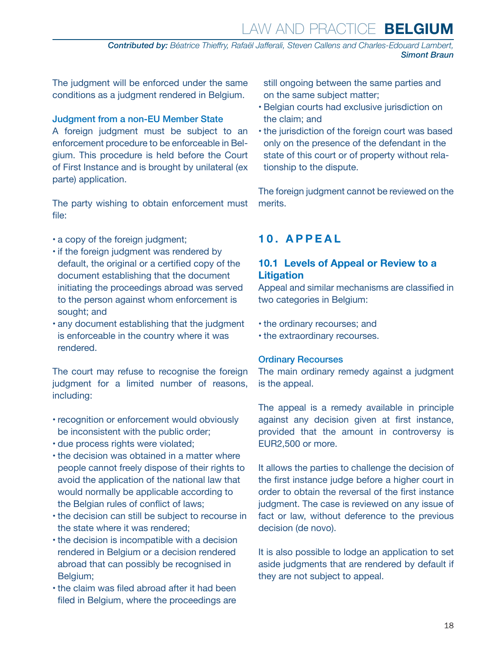*Contributed by: Béatrice Thieffry, Rafaël Jafferali, Steven Callens and Charles-Edouard Lambert, Simont Braun*

<span id="page-17-0"></span>The judgment will be enforced under the same conditions as a judgment rendered in Belgium.

#### Judgment from a non-EU Member State

A foreign judgment must be subject to an enforcement procedure to be enforceable in Belgium. This procedure is held before the Court of First Instance and is brought by unilateral (ex parte) application.

The party wishing to obtain enforcement must file:

- a copy of the foreign judgment;
- if the foreign judgment was rendered by default, the original or a certified copy of the document establishing that the document initiating the proceedings abroad was served to the person against whom enforcement is sought; and
- any document establishing that the judgment is enforceable in the country where it was rendered.

The court may refuse to recognise the foreign judgment for a limited number of reasons, including:

- recognition or enforcement would obviously be inconsistent with the public order;
- due process rights were violated;
- the decision was obtained in a matter where people cannot freely dispose of their rights to avoid the application of the national law that would normally be applicable according to the Belgian rules of conflict of laws;
- the decision can still be subject to recourse in the state where it was rendered;
- the decision is incompatible with a decision rendered in Belgium or a decision rendered abroad that can possibly be recognised in Belgium;
- the claim was filed abroad after it had been filed in Belgium, where the proceedings are

still ongoing between the same parties and on the same subject matter;

- Belgian courts had exclusive jurisdiction on the claim; and
- the jurisdiction of the foreign court was based only on the presence of the defendant in the state of this court or of property without relationship to the dispute.

The foreign judgment cannot be reviewed on the merits.

#### **10. APPEAL**

#### **10.1 Levels of Appeal or Review to a Litigation**

Appeal and similar mechanisms are classified in two categories in Belgium:

- the ordinary recourses; and
- the extraordinary recourses.

#### Ordinary Recourses

The main ordinary remedy against a judgment is the appeal.

The appeal is a remedy available in principle against any decision given at first instance, provided that the amount in controversy is EUR2,500 or more.

It allows the parties to challenge the decision of the first instance judge before a higher court in order to obtain the reversal of the first instance judgment. The case is reviewed on any issue of fact or law, without deference to the previous decision (de novo).

It is also possible to lodge an application to set aside judgments that are rendered by default if they are not subject to appeal.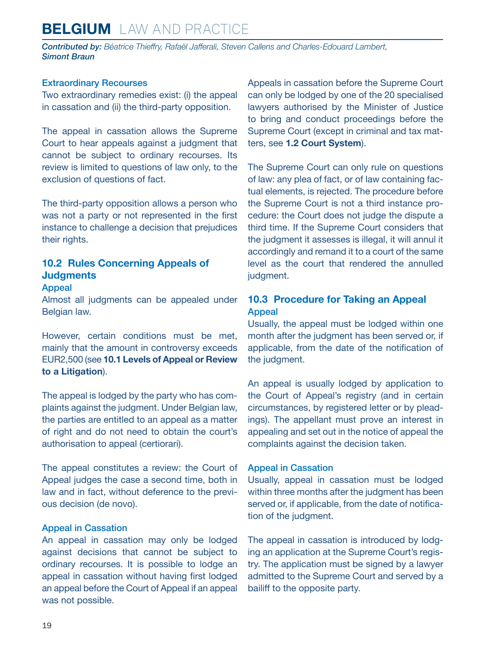<span id="page-18-0"></span>*Contributed by: Béatrice Thieffry, Rafaël Jafferali, Steven Callens and Charles-Edouard Lambert, Simont Braun*

#### Extraordinary Recourses

Two extraordinary remedies exist: (i) the appeal in cassation and (ii) the third-party opposition.

The appeal in cassation allows the Supreme Court to hear appeals against a judgment that cannot be subject to ordinary recourses. Its review is limited to questions of law only, to the exclusion of questions of fact.

The third-party opposition allows a person who was not a party or not represented in the first instance to challenge a decision that prejudices their rights.

#### **10.2 Rules Concerning Appeals of Judgments**

#### Appeal

Almost all judgments can be appealed under Belgian law.

However, certain conditions must be met, mainly that the amount in controversy exceeds EUR2,500 (see **10.1 Levels of Appeal or Review to a Litigation**).

The appeal is lodged by the party who has complaints against the judgment. Under Belgian law, the parties are entitled to an appeal as a matter of right and do not need to obtain the court's authorisation to appeal (certiorari).

The appeal constitutes a review: the Court of Appeal judges the case a second time, both in law and in fact, without deference to the previous decision (de novo).

#### Appeal in Cassation

An appeal in cassation may only be lodged against decisions that cannot be subject to ordinary recourses. It is possible to lodge an appeal in cassation without having first lodged an appeal before the Court of Appeal if an appeal was not possible.

Appeals in cassation before the Supreme Court can only be lodged by one of the 20 specialised lawyers authorised by the Minister of Justice to bring and conduct proceedings before the Supreme Court (except in criminal and tax matters, see **1.2 Court System**).

The Supreme Court can only rule on questions of law: any plea of fact, or of law containing factual elements, is rejected. The procedure before the Supreme Court is not a third instance procedure: the Court does not judge the dispute a third time. If the Supreme Court considers that the judgment it assesses is illegal, it will annul it accordingly and remand it to a court of the same level as the court that rendered the annulled judgment.

#### **10.3 Procedure for Taking an Appeal** Appeal

Usually, the appeal must be lodged within one month after the judgment has been served or, if applicable, from the date of the notification of the judgment.

An appeal is usually lodged by application to the Court of Appeal's registry (and in certain circumstances, by registered letter or by pleadings). The appellant must prove an interest in appealing and set out in the notice of appeal the complaints against the decision taken.

#### Appeal in Cassation

Usually, appeal in cassation must be lodged within three months after the judgment has been served or, if applicable, from the date of notification of the judgment.

The appeal in cassation is introduced by lodging an application at the Supreme Court's registry. The application must be signed by a lawyer admitted to the Supreme Court and served by a bailiff to the opposite party.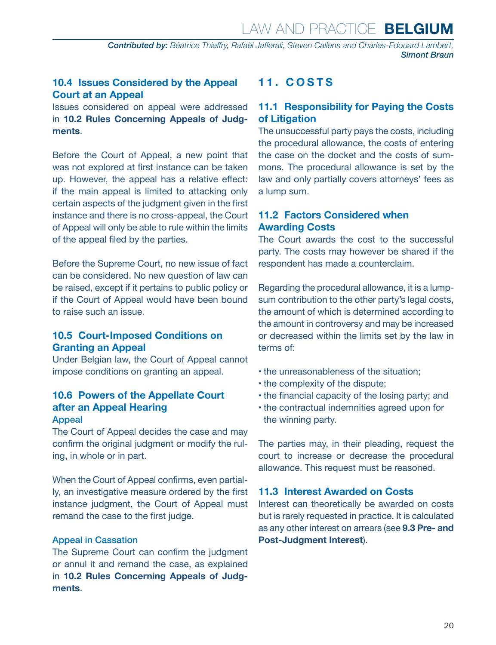#### <span id="page-19-0"></span>**10.4 Issues Considered by the Appeal Court at an Appeal**

Issues considered on appeal were addressed in **10.2 Rules Concerning Appeals of Judgments**.

Before the Court of Appeal, a new point that was not explored at first instance can be taken up. However, the appeal has a relative effect: if the main appeal is limited to attacking only certain aspects of the judgment given in the first instance and there is no cross-appeal, the Court of Appeal will only be able to rule within the limits of the appeal filed by the parties.

Before the Supreme Court, no new issue of fact can be considered. No new question of law can be raised, except if it pertains to public policy or if the Court of Appeal would have been bound to raise such an issue.

#### **10.5 Court-Imposed Conditions on Granting an Appeal**

Under Belgian law, the Court of Appeal cannot impose conditions on granting an appeal.

#### **10.6 Powers of the Appellate Court after an Appeal Hearing** Appeal

The Court of Appeal decides the case and may confirm the original judgment or modify the ruling, in whole or in part.

When the Court of Appeal confirms, even partially, an investigative measure ordered by the first instance judgment, the Court of Appeal must remand the case to the first judge.

#### Appeal in Cassation

The Supreme Court can confirm the judgment or annul it and remand the case, as explained in **10.2 Rules Concerning Appeals of Judgments**.

#### **11. COSTS**

#### **11.1 Responsibility for Paying the Costs of Litigation**

The unsuccessful party pays the costs, including the procedural allowance, the costs of entering the case on the docket and the costs of summons. The procedural allowance is set by the law and only partially covers attorneys' fees as a lump sum.

#### **11.2 Factors Considered when Awarding Costs**

The Court awards the cost to the successful party. The costs may however be shared if the respondent has made a counterclaim.

Regarding the procedural allowance, it is a lumpsum contribution to the other party's legal costs, the amount of which is determined according to the amount in controversy and may be increased or decreased within the limits set by the law in terms of:

- the unreasonableness of the situation;
- the complexity of the dispute;
- the financial capacity of the losing party; and
- the contractual indemnities agreed upon for the winning party.

The parties may, in their pleading, request the court to increase or decrease the procedural allowance. This request must be reasoned.

#### **11.3 Interest Awarded on Costs**

Interest can theoretically be awarded on costs but is rarely requested in practice. It is calculated as any other interest on arrears (see **9.3 Pre- and Post-Judgment Interest**).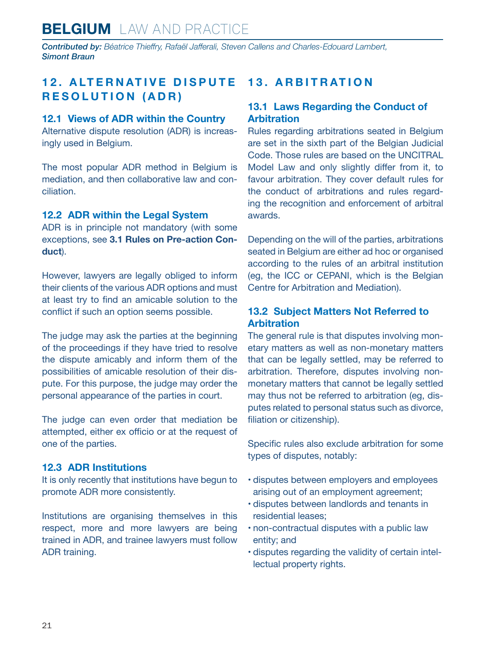<span id="page-20-0"></span>*Contributed by: Béatrice Thieffry, Rafaël Jafferali, Steven Callens and Charles-Edouard Lambert, Simont Braun*

#### **12. ALTERNATIVE DISPUTE RESOLUTION (ADR)**

#### **12.1 Views of ADR within the Country**

Alternative dispute resolution (ADR) is increasingly used in Belgium.

The most popular ADR method in Belgium is mediation, and then collaborative law and conciliation.

#### **12.2 ADR within the Legal System**

ADR is in principle not mandatory (with some exceptions, see **3.1 Rules on Pre-action Conduct**).

However, lawyers are legally obliged to inform their clients of the various ADR options and must at least try to find an amicable solution to the conflict if such an option seems possible.

The judge may ask the parties at the beginning of the proceedings if they have tried to resolve the dispute amicably and inform them of the possibilities of amicable resolution of their dispute. For this purpose, the judge may order the personal appearance of the parties in court.

The judge can even order that mediation be attempted, either ex officio or at the request of one of the parties.

#### **12.3 ADR Institutions**

It is only recently that institutions have begun to promote ADR more consistently.

Institutions are organising themselves in this respect, more and more lawyers are being trained in ADR, and trainee lawyers must follow ADR training.

#### **13. ARBITRATION**

#### **13.1 Laws Regarding the Conduct of Arbitration**

Rules regarding arbitrations seated in Belgium are set in the sixth part of the Belgian Judicial Code. Those rules are based on the UNCITRAL Model Law and only slightly differ from it, to favour arbitration. They cover default rules for the conduct of arbitrations and rules regarding the recognition and enforcement of arbitral awards.

Depending on the will of the parties, arbitrations seated in Belgium are either ad hoc or organised according to the rules of an arbitral institution (eg, the ICC or CEPANI, which is the Belgian Centre for Arbitration and Mediation).

#### **13.2 Subject Matters Not Referred to Arbitration**

The general rule is that disputes involving monetary matters as well as non-monetary matters that can be legally settled, may be referred to arbitration. Therefore, disputes involving nonmonetary matters that cannot be legally settled may thus not be referred to arbitration (eg, disputes related to personal status such as divorce, filiation or citizenship).

Specific rules also exclude arbitration for some types of disputes, notably:

- disputes between employers and employees arising out of an employment agreement;
- disputes between landlords and tenants in residential leases;
- non-contractual disputes with a public law entity; and
- disputes regarding the validity of certain intellectual property rights.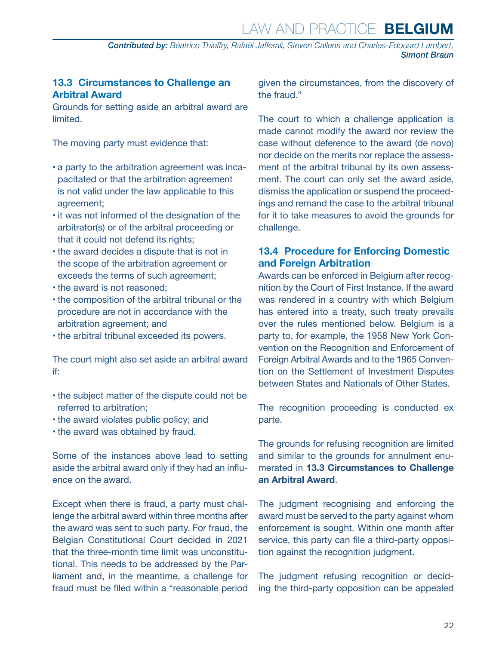#### <span id="page-21-0"></span>**13.3 Circumstances to Challenge an Arbitral Award**

Grounds for setting aside an arbitral award are limited.

The moving party must evidence that:

- a party to the arbitration agreement was incapacitated or that the arbitration agreement is not valid under the law applicable to this agreement;
- it was not informed of the designation of the arbitrator(s) or of the arbitral proceeding or that it could not defend its rights;
- the award decides a dispute that is not in the scope of the arbitration agreement or exceeds the terms of such agreement;
- the award is not reasoned;
- the composition of the arbitral tribunal or the procedure are not in accordance with the arbitration agreement; and
- the arbitral tribunal exceeded its powers.

The court might also set aside an arbitral award if:

- the subject matter of the dispute could not be referred to arbitration;
- the award violates public policy; and
- the award was obtained by fraud.

Some of the instances above lead to setting aside the arbitral award only if they had an influence on the award.

Except when there is fraud, a party must challenge the arbitral award within three months after the award was sent to such party. For fraud, the Belgian Constitutional Court decided in 2021 that the three-month time limit was unconstitutional. This needs to be addressed by the Parliament and, in the meantime, a challenge for fraud must be filed within a "reasonable period

given the circumstances, from the discovery of the fraud."

The court to which a challenge application is made cannot modify the award nor review the case without deference to the award (de novo) nor decide on the merits nor replace the assessment of the arbitral tribunal by its own assessment. The court can only set the award aside, dismiss the application or suspend the proceedings and remand the case to the arbitral tribunal for it to take measures to avoid the grounds for challenge.

#### **13.4 Procedure for Enforcing Domestic and Foreign Arbitration**

Awards can be enforced in Belgium after recognition by the Court of First Instance. If the award was rendered in a country with which Belgium has entered into a treaty, such treaty prevails over the rules mentioned below. Belgium is a party to, for example, the 1958 New York Convention on the Recognition and Enforcement of Foreign Arbitral Awards and to the 1965 Convention on the Settlement of Investment Disputes between States and Nationals of Other States.

The recognition proceeding is conducted ex parte.

The grounds for refusing recognition are limited and similar to the grounds for annulment enumerated in **13.3 Circumstances to Challenge an Arbitral Award**.

The judgment recognising and enforcing the award must be served to the party against whom enforcement is sought. Within one month after service, this party can file a third-party opposition against the recognition judgment.

The judgment refusing recognition or deciding the third-party opposition can be appealed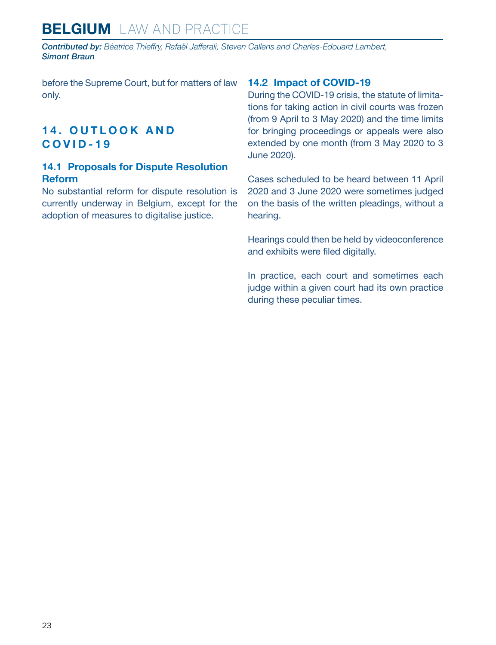## <span id="page-22-0"></span>**BELGIUM** LAW AND PRACTICE

*Contributed by: Béatrice Thieffry, Rafaël Jafferali, Steven Callens and Charles-Edouard Lambert, Simont Braun*

before the Supreme Court, but for matters of law only.

#### **1 4 . O U T L O O K A N D COVID-19**

#### **14.1 Proposals for Dispute Resolution Reform**

No substantial reform for dispute resolution is currently underway in Belgium, except for the adoption of measures to digitalise justice.

#### **14.2 Impact of COVID-19**

During the COVID-19 crisis, the statute of limitations for taking action in civil courts was frozen (from 9 April to 3 May 2020) and the time limits for bringing proceedings or appeals were also extended by one month (from 3 May 2020 to 3 June 2020).

Cases scheduled to be heard between 11 April 2020 and 3 June 2020 were sometimes judged on the basis of the written pleadings, without a hearing.

Hearings could then be held by videoconference and exhibits were filed digitally.

In practice, each court and sometimes each judge within a given court had its own practice during these peculiar times.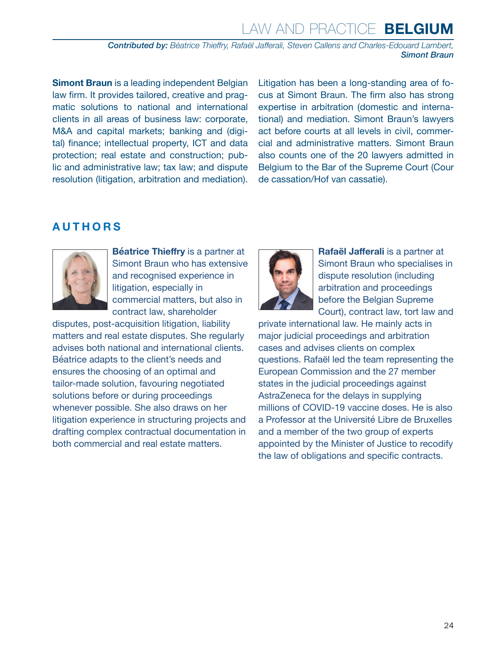*Contributed by: Béatrice Thieffry, Rafaël Jafferali, Steven Callens and Charles-Edouard Lambert, Simont Braun*

**Simont Braun** is a leading independent Belgian law firm. It provides tailored, creative and pragmatic solutions to national and international clients in all areas of business law: corporate, M&A and capital markets; banking and (digital) finance; intellectual property, ICT and data protection; real estate and construction; public and administrative law; tax law; and dispute resolution (litigation, arbitration and mediation).

Litigation has been a long-standing area of focus at Simont Braun. The firm also has strong expertise in arbitration (domestic and international) and mediation. Simont Braun's lawyers act before courts at all levels in civil, commercial and administrative matters. Simont Braun also counts one of the 20 lawyers admitted in Belgium to the Bar of the Supreme Court (Cour de cassation/Hof van cassatie).

#### <span id="page-23-0"></span>**AUTHORS**



**Béatrice Thieffry** is a partner at Simont Braun who has extensive and recognised experience in litigation, especially in commercial matters, but also in contract law, shareholder

disputes, post-acquisition litigation, liability matters and real estate disputes. She regularly advises both national and international clients. Béatrice adapts to the client's needs and ensures the choosing of an optimal and tailor-made solution, favouring negotiated solutions before or during proceedings whenever possible. She also draws on her litigation experience in structuring projects and drafting complex contractual documentation in both commercial and real estate matters.



**Rafaël Jafferali** is a partner at Simont Braun who specialises in dispute resolution (including arbitration and proceedings before the Belgian Supreme Court), contract law, tort law and

private international law. He mainly acts in major judicial proceedings and arbitration cases and advises clients on complex questions. Rafaël led the team representing the European Commission and the 27 member states in the judicial proceedings against AstraZeneca for the delays in supplying millions of COVID-19 vaccine doses. He is also a Professor at the Université Libre de Bruxelles and a member of the two group of experts appointed by the Minister of Justice to recodify the law of obligations and specific contracts.